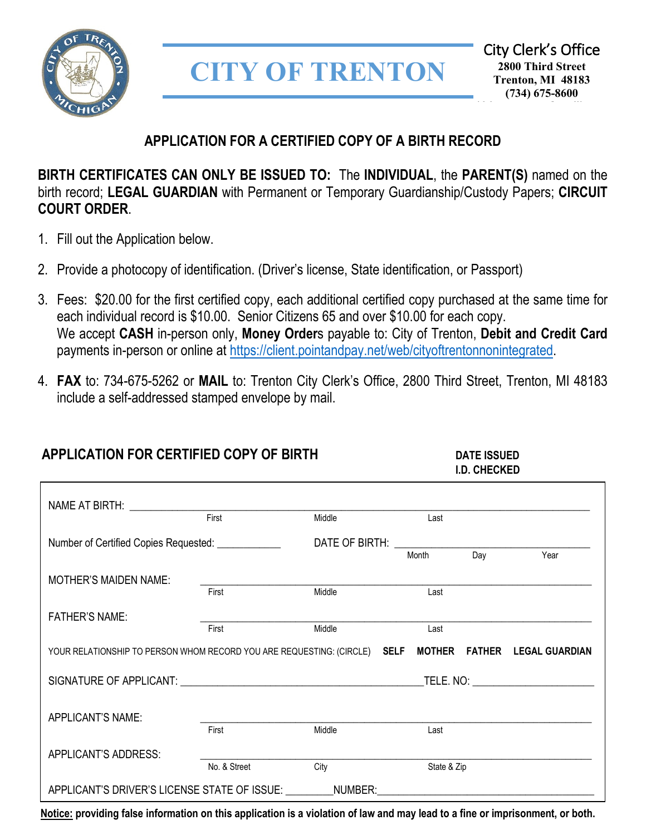

# **CITY OF TRENTON**

### **APPLICATION FOR A CERTIFIED COPY OF A BIRTH RECORD**

**BIRTH CERTIFICATES CAN ONLY BE ISSUED TO:** The **INDIVIDUAL**, the **PARENT(S)** named on the birth record; **LEGAL GUARDIAN** with Permanent or Temporary Guardianship/Custody Papers; **CIRCUIT COURT ORDER**. E

- 1. Fill out the Application below.
- 2. Provide a photocopy of identification. (Driver's license, State identification, or Passport)
- 3. Fees: \$20.00 for the first certified copy, each additional certified copy purchased at the same time for each individual record is \$10.00. Senior Citizens 65 and over \$10.00 for each copy. We accept **CASH** in-person only, **Money Order**s payable to: City of Trenton, **Debit and Credit Card** payments in-person or online at [https://client.pointandpay.net/web/cityoftrentonnonintegrated.](https://client.pointandpay.net/web/cityoftrentonnonintegrated)
- 4. **FAX** to: 734-675-5262 or **MAIL** to: Trenton City Clerk's Office, 2800 Third Street, Trenton, MI 48183 include a self-addressed stamped envelope by mail.

## **APPLICATION FOR CERTIFIED COPY OF BIRTH DATE ISSUED I.D. CHECKED**

|                                                                                                        | First        | Middle | Last        |                  |      |  |
|--------------------------------------------------------------------------------------------------------|--------------|--------|-------------|------------------|------|--|
| Number of Certified Copies Requested: ____________                                                     |              |        |             |                  |      |  |
|                                                                                                        |              |        | Month       | $\overline{Day}$ | Year |  |
| <b>MOTHER'S MAIDEN NAME:</b>                                                                           |              |        |             |                  |      |  |
|                                                                                                        | First        | Middle | Last        |                  |      |  |
| <b>FATHER'S NAME:</b>                                                                                  |              |        |             |                  |      |  |
|                                                                                                        | First        | Middle | Last        |                  |      |  |
| YOUR RELATIONSHIP TO PERSON WHOM RECORD YOU ARE REQUESTING: (CIRCLE) SELF MOTHER FATHER LEGAL GUARDIAN |              |        |             |                  |      |  |
|                                                                                                        |              |        |             |                  |      |  |
|                                                                                                        |              |        |             |                  |      |  |
| APPLICANT'S NAME:                                                                                      |              |        |             |                  |      |  |
|                                                                                                        | First        | Middle | Last        |                  |      |  |
| APPLICANT'S ADDRESS:                                                                                   |              |        |             |                  |      |  |
|                                                                                                        | No. & Street | City   | State & Zip |                  |      |  |
| APPLICANT'S DRIVER'S LICENSE STATE OF ISSUE: ________NUMBER: ____________________                      |              |        |             |                  |      |  |

**Notice: providing false information on this application is a violation of law and may lead to a fine or imprisonment, or both.**